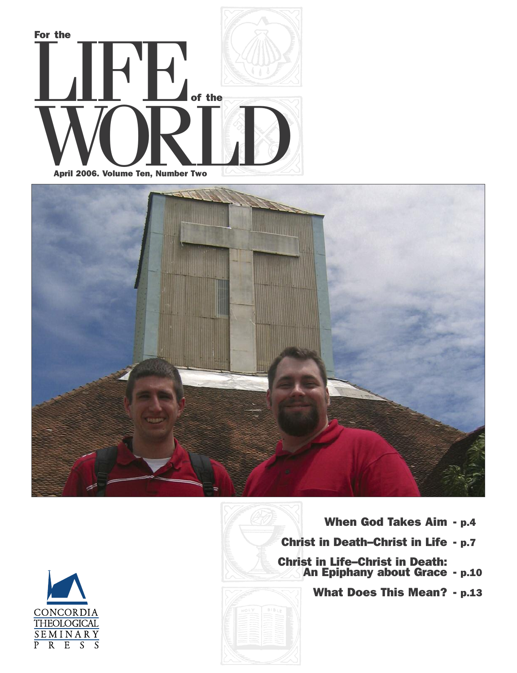







**What Does This Mean? - p.13**

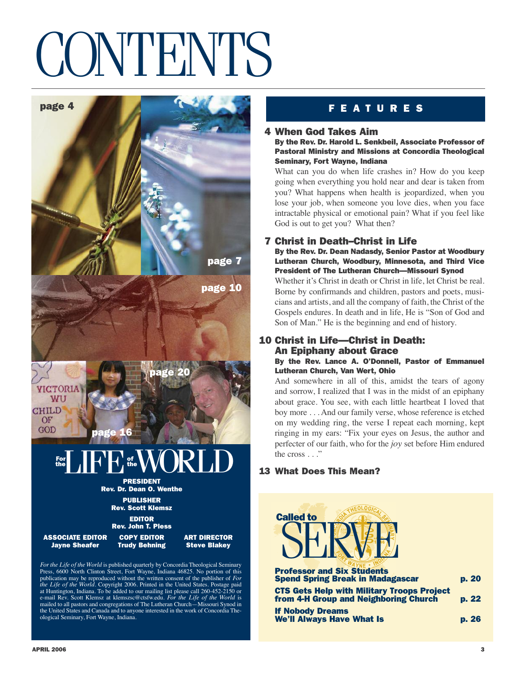## CONTENTS



publication may be reproduced without the written consent of the publisher of *For the Life of the World*. Copyright 2006. Printed in the United States. Postage paid at Huntington, Indiana. To be added to our mailing list please call 260-452-2150 or<br>e-mail Rev. Scott Klemsz at klemszsc@ctsfw.edu. *For the Life of the World* is<br>mailed to all pastors and congregations of The Lutheran Chu the United States and Canada and to anyone interested in the work of Concordia The-

**4 When God Takes Aim**

**By the Rev. Dr. Harold L. Senkbeil, Associate Professor of Pastoral Ministry and Missions at Concordia Theological Seminary, Fort Wayne, Indiana**

What can you do when life crashes in? How do you keep going when everything you hold near and dear is taken from you? What happens when health is jeopardized, when you lose your job, when someone you love dies, when you face intractable physical or emotional pain? What if you feel like God is out to get you? What then?

## **7 Christ in Death–Christ in Life**

**By the Rev. Dr. Dean Nadasdy, Senior Pastor at Woodbury Lutheran Church, Woodbury, Minnesota, and Third Vice President of The Lutheran Church—Missouri Synod**

Whether it's Christ in death or Christ in life, let Christ be real. Borne by confirmands and children, pastors and poets, musicians and artists, and all the company of faith, the Christ of the Gospels endures. In death and in life, He is "Son of God and Son of Man." He is the beginning and end of history.

### **10 Christ in Life—Christ in Death: An Epiphany about Grace By the Rev. Lance A. O'Donnell, Pastor of Emmanuel Lutheran Church, Van Wert, Ohio**

And somewhere in all of this, amidst the tears of agony and sorrow, I realized that I was in the midst of an epiphany about grace. You see, with each little heartbeat I loved that boy more . . . And our family verse, whose reference is etched on my wedding ring, the verse I repeat each morning, kept ringing in my ears: "Fix your eyes on Jesus, the author and perfecter of our faith, who for the *joy* set before Him endured the cross . . ."

## **13 What Does This Mean?**



| <b>Professor and Six Students</b><br><b>Spend Spring Break in Madagascar</b>               | p. 20 |
|--------------------------------------------------------------------------------------------|-------|
| <b>CTS Gets Help with Military Troops Project</b><br>from 4-H Group and Neighboring Church | p. 22 |
| <b>If Nobody Dreams</b><br><b>We'll Always Have What Is</b>                                | p.26  |

**APRIL 2006**

ological Seminary, Fort Wayne, Indiana.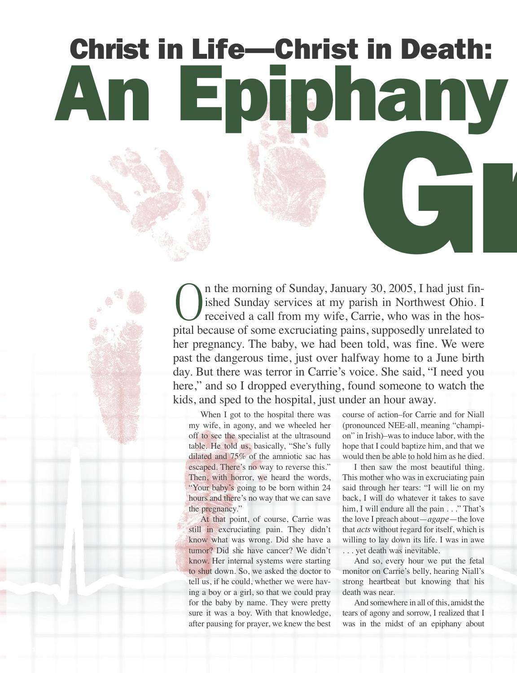# **An Epiphany about Christ in Life—Christ in Death: Gray**

On the morning of Sunday, January 30, 2005, I had just fin-<br>ished Sunday services at my parish in Northwest Ohio. I<br>received a call from my wife, Carrie, who was in the hos-<br>pital because of some exeruciting pains, suppose ished Sunday services at my parish in Northwest Ohio. I received a call from my wife, Carrie, who was in the hospital because of some excruciating pains, supposedly unrelated to her pregnancy. The baby, we had been told, was fine. We were past the dangerous time, just over halfway home to a June birth day. But there was terror in Carrie's voice. She said, "I need you here," and so I dropped everything, found someone to watch the kids, and sped to the hospital, just under an hour away.

When I got to the hospital there was my wife, in agony, and we wheeled her off to see the specialist at the ultrasound table. He told us, basically, "She's fully dilated and 75% of the amniotic sac has escaped. There's no way to reverse this." Then, with horror, we heard the words, "Your baby's going to be born within 24 hours and there's no way that we can save the pregnancy."

At that point, of course, Carrie was still in excruciating pain. They didn't know what was wrong. Did she have a tumor? Did she have cancer? We didn't know. Her internal systems were starting to shut down. So, we asked the doctor to tell us, if he could, whether we were having a boy or a girl, so that we could pray for the baby by name. They were pretty sure it was a boy. With that knowledge, after pausing for prayer, we knew the best

course of action–for Carrie and for Niall (pronounced NEE-all, meaning "champion" in Irish)–was to induce labor, with the hope that I could baptize him, and that we would then be able to hold him as he died.

I then saw the most beautiful thing. This mother who was in excruciating pain said through her tears: "I will lie on my back, I will do whatever it takes to save him, I will endure all the pain . . ." That's the love I preach about—*agape—*the love that *acts* without regard for itself, which is willing to lay down its life. I was in awe . . . yet death was inevitable.

And so, every hour we put the fetal monitor on Carrie's belly, hearing Niall's strong heartbeat but knowing that his death was near.

And somewhere in all of this, amidst the tears of agony and sorrow, I realized that I was in the midst of an epiphany about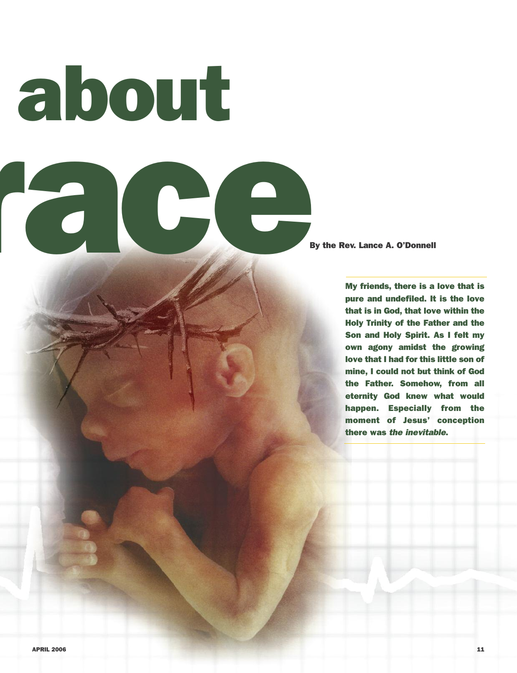**An Epiphany about Grade Contract Contract On the Rev. Lance A. O'Donnell** 

**My friends, there is a love that is pure and undefiled. It is the love that is in God, that love within the Holy Trinity of the Father and the Son and Holy Spirit. As I felt my own agony amidst the growing love that I had for this little son of mine, I could not but think of God the Father. Somehow, from all eternity God knew what would happen. Especially from the moment of Jesus' conception there was** *the inevitable***.**